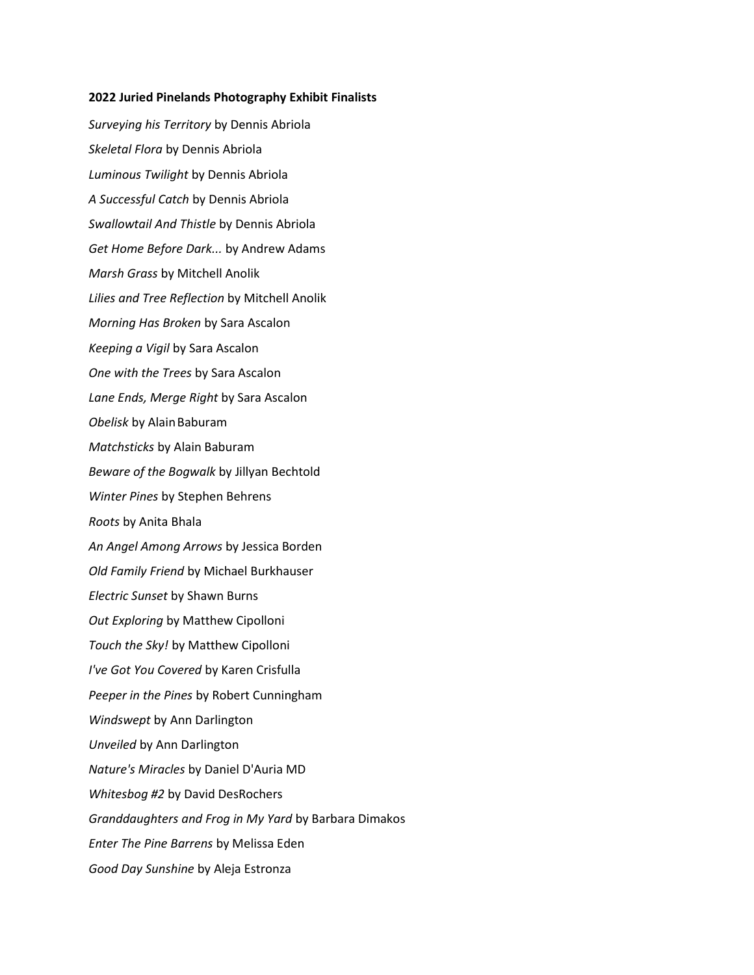## 2022 Juried Pinelands Photography Exhibit Finalists

Surveying his Territory by Dennis Abriola Skeletal Flora by Dennis Abriola Luminous Twilight by Dennis Abriola A Successful Catch by Dennis Abriola Swallowtail And Thistle by Dennis Abriola Get Home Before Dark... by Andrew Adams Marsh Grass by Mitchell Anolik Lilies and Tree Reflection by Mitchell Anolik Morning Has Broken by Sara Ascalon Keeping a Vigil by Sara Ascalon One with the Trees by Sara Ascalon Lane Ends, Merge Right by Sara Ascalon Obelisk by Alain Baburam Matchsticks by Alain Baburam Beware of the Bogwalk by Jillyan Bechtold Winter Pines by Stephen Behrens Roots by Anita Bhala An Angel Among Arrows by Jessica Borden Old Family Friend by Michael Burkhauser Electric Sunset by Shawn Burns Out Exploring by Matthew Cipolloni Touch the Sky! by Matthew Cipolloni I've Got You Covered by Karen Crisfulla Peeper in the Pines by Robert Cunningham Windswept by Ann Darlington Unveiled by Ann Darlington Nature's Miracles by Daniel D'Auria MD Whitesbog #2 by David DesRochers Granddaughters and Frog in My Yard by Barbara Dimakos Enter The Pine Barrens by Melissa Eden Good Day Sunshine by Aleja Estronza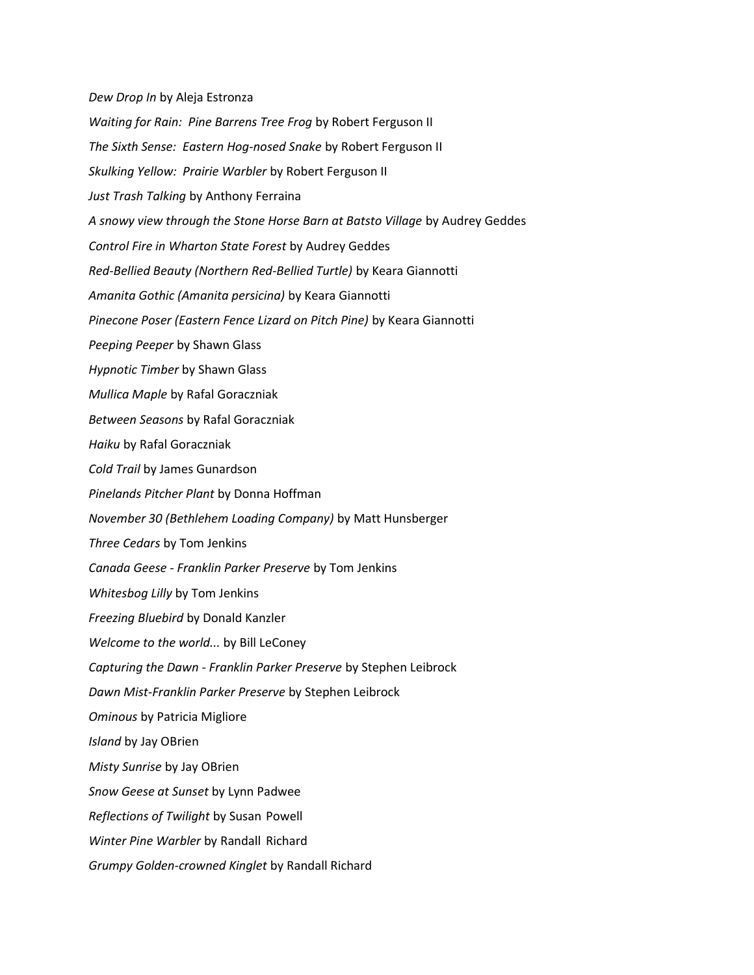Dew Drop In by Aleja Estronza Waiting for Rain: Pine Barrens Tree Frog by Robert Ferguson II The Sixth Sense: Eastern Hog-nosed Snake by Robert Ferguson II Skulking Yellow: Prairie Warbler by Robert Ferguson II Just Trash Talking by Anthony Ferraina A snowy view through the Stone Horse Barn at Batsto Village by Audrey Geddes Control Fire in Wharton State Forest by Audrey Geddes Red-Bellied Beauty (Northern Red-Bellied Turtle) by Keara Giannotti Amanita Gothic (Amanita persicina) by Keara Giannotti Pinecone Poser (Eastern Fence Lizard on Pitch Pine) by Keara Giannotti Peeping Peeper by Shawn Glass Hypnotic Timber by Shawn Glass Mullica Maple by Rafal Goraczniak Between Seasons by Rafal Goraczniak Haiku by Rafal Goraczniak Cold Trail by James Gunardson Pinelands Pitcher Plant by Donna Hoffman November 30 (Bethlehem Loading Company) by Matt Hunsberger Three Cedars by Tom Jenkins Canada Geese - Franklin Parker Preserve by Tom Jenkins Whitesbog Lilly by Tom Jenkins Freezing Bluebird by Donald Kanzler Welcome to the world... by Bill LeConey Capturing the Dawn - Franklin Parker Preserve by Stephen Leibrock Dawn Mist-Franklin Parker Preserve by Stephen Leibrock Ominous by Patricia Migliore Island by Jay OBrien Misty Sunrise by Jay OBrien Snow Geese at Sunset by Lynn Padwee Reflections of Twilight by Susan Powell Winter Pine Warbler by Randall Richard Grumpy Golden-crowned Kinglet by Randall Richard